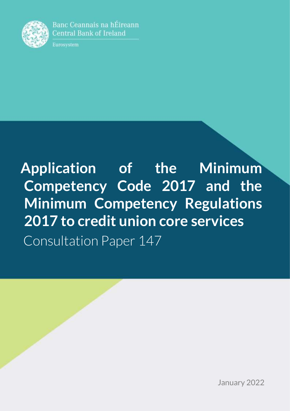

Banc Ceannais na hÉireann **Central Bank of Ireland** 

Eurosystem

**Application of the Minimum Competency Code 2017 and the Minimum Competency Regulations 2017 to credit union core services** Consultation Paper 147

January 2022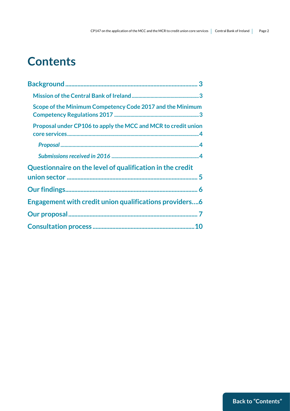# <span id="page-1-0"></span>**Contents**

| Scope of the Minimum Competency Code 2017 and the Minimum     |
|---------------------------------------------------------------|
| Proposal under CP106 to apply the MCC and MCR to credit union |
|                                                               |
|                                                               |
| Questionnaire on the level of qualification in the credit     |
|                                                               |
|                                                               |
| Engagement with credit union qualifications providers6        |
|                                                               |
|                                                               |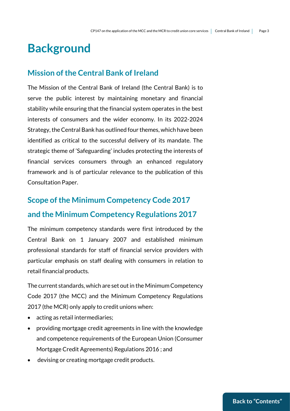# <span id="page-2-0"></span>**Background**

#### <span id="page-2-1"></span>**Mission of the Central Bank of Ireland**

The Mission of the Central Bank of Ireland (the Central Bank) is to serve the public interest by maintaining monetary and financial stability while ensuring that the financial system operates in the best interests of consumers and the wider economy. In its 2022-2024 Strategy, the Central Bank has outlined four themes, which have been identified as critical to the successful delivery of its mandate. The strategic theme of 'Safeguarding' includes protecting the interests of financial services consumers through an enhanced regulatory framework and is of particular relevance to the publication of this Consultation Paper.

### <span id="page-2-2"></span>**Scope of the Minimum Competency Code 2017 and the Minimum Competency Regulations 2017**

The minimum competency standards were first introduced by the Central Bank on 1 January 2007 and established minimum professional standards for staff of financial service providers with particular emphasis on staff dealing with consumers in relation to retail financial products.

The current standards, which are set out in the Minimum Competency Code 2017 (the MCC) and the Minimum Competency Regulations 2017 (the MCR) only apply to credit unions when:

- acting as retail intermediaries;
- providing mortgage credit agreements in line with the knowledge and competence requirements of the European Union (Consumer Mortgage Credit Agreements) Regulations 2016 ; and
- devising or creating mortgage credit products.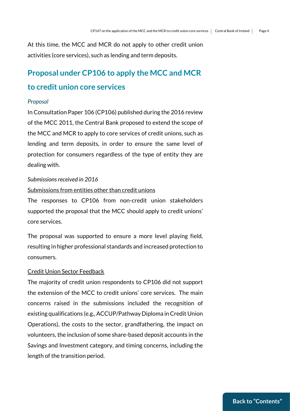At this time, the MCC and MCR do not apply to other credit union activities (core services), such as lending and term deposits.

### <span id="page-3-0"></span>**Proposal under CP106 to apply the MCC and MCR**

#### **to credit union core services**

#### <span id="page-3-1"></span>*Proposal*

In Consultation Paper 106 (CP106) published during the 2016 review of the MCC 2011, the Central Bank proposed to extend the scope of the MCC and MCR to apply to core services of credit unions, such as lending and term deposits, in order to ensure the same level of protection for consumers regardless of the type of entity they are dealing with.

#### <span id="page-3-2"></span>*Submissions received in 2016*

#### Submissions from entities other than credit unions

The responses to CP106 from non-credit union stakeholders supported the proposal that the MCC should apply to credit unions' core services.

The proposal was supported to ensure a more level playing field, resulting in higher professional standards and increased protection to consumers.

#### Credit Union Sector Feedback

The majority of credit union respondents to CP106 did not support the extension of the MCC to credit unions' core services. The main concerns raised in the submissions included the recognition of existing qualifications (e.g., ACCUP/Pathway Diploma in Credit Union Operations), the costs to the sector, grandfathering, the impact on volunteers, the inclusion of some share-based deposit accounts in the Savings and Investment category, and timing concerns, including the length of the transition period.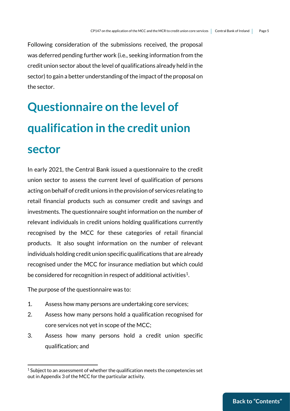Following consideration of the submissions received, the proposal was deferred pending further work (i.e., seeking information from the credit union sector about the level of qualifications already held in the sector) to gain a better understanding of the impact of the proposal on the sector.

# <span id="page-4-0"></span>**Questionnaire on the level of qualification in the credit union sector**

In early 2021, the Central Bank issued a questionnaire to the credit union sector to assess the current level of qualification of persons acting on behalf of credit unions in the provision of services relating to retail financial products such as consumer credit and savings and investments. The questionnaire sought information on the number of relevant individuals in credit unions holding qualifications currently recognised by the MCC for these categories of retail financial products. It also sought information on the number of relevant individuals holding credit union specific qualifications that are already recognised under the MCC for insurance mediation but which could be considered for recognition in respect of additional activities<sup>1</sup>.

The purpose of the questionnaire was to:

<u>.</u>

- 1. Assess how many persons are undertaking core services;
- 2. Assess how many persons hold a qualification recognised for core services not yet in scope of the MCC;
- 3. Assess how many persons hold a credit union specific qualification; and

 $1$  Subject to an assessment of whether the qualification meets the competencies set out in Appendix 3 of the MCC for the particular activity.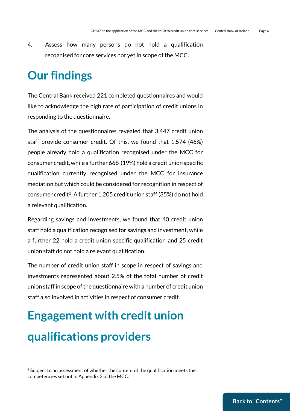4. Assess how many persons do not hold a qualification recognised for core services not yet in scope of the MCC.

## <span id="page-5-0"></span>**Our findings**

The Central Bank received 221 completed questionnaires and would like to acknowledge the high rate of participation of credit unions in responding to the questionnaire.

The analysis of the questionnaires revealed that 3,447 credit union staff provide consumer credit. Of this, we found that 1,574 (46%) people already hold a qualification recognised under the MCC for consumer credit,while a further 668 (19%) hold a credit union specific qualification currently recognised under the MCC for insurance mediation but which could be considered for recognition in respect of consumer credit<sup>2</sup>. A further 1,205 credit union staff (35%) do not hold a relevant qualification.

Regarding savings and investments, we found that 40 credit union staff hold a qualification recognised for savings and investment, while a further 22 hold a credit union specific qualification and 25 credit union staff do not hold a relevant qualification.

The number of credit union staff in scope in respect of savings and investments represented about 2.5% of the total number of credit union staff in scope of the questionnaire with a number of credit union staff also involved in activities in respect of consumer credit.

# **Engagement with credit union qualifications providers**

<u>.</u>

 $2$  Subject to an assessment of whether the content of the qualification meets the competencies set out in Appendix 3 of the MCC.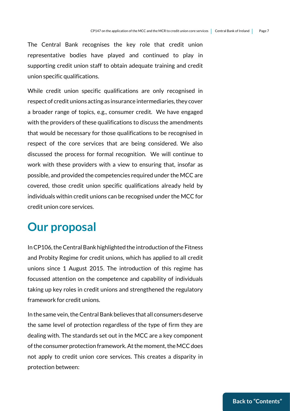The Central Bank recognises the key role that credit union representative bodies have played and continued to play in supporting credit union staff to obtain adequate training and credit union specific qualifications.

While credit union specific qualifications are only recognised in respect of credit unions acting as insurance intermediaries, they cover a broader range of topics, e.g., consumer credit. We have engaged with the providers of these qualifications to discuss the amendments that would be necessary for those qualifications to be recognised in respect of the core services that are being considered. We also discussed the process for formal recognition. We will continue to work with these providers with a view to ensuring that, insofar as possible, and provided the competencies required under the MCC are covered, those credit union specific qualifications already held by individuals within credit unions can be recognised under the MCC for credit union core services.

## <span id="page-6-0"></span>**Our proposal**

In CP106, the Central Bank highlighted the introduction of the Fitness and Probity Regime for credit unions, which has applied to all credit unions since 1 August 2015. The introduction of this regime has focussed attention on the competence and capability of individuals taking up key roles in credit unions and strengthened the regulatory framework for credit unions.

In the same vein, the Central Bank believes that all consumers deserve the same level of protection regardless of the type of firm they are dealing with. The standards set out in the MCC are a key component of the consumer protection framework.At the moment, the MCC does not apply to credit union core services. This creates a disparity in protection between: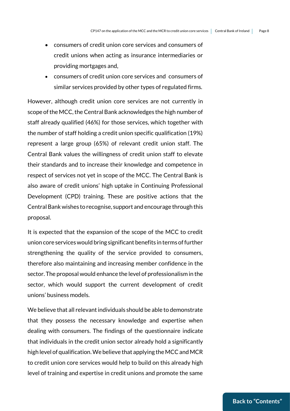- consumers of credit union core services and consumers of credit unions when acting as insurance intermediaries or providing mortgages and,
- consumers of credit union core services and consumers of similar services provided by other types of regulated firms.

However, although credit union core services are not currently in scope of the MCC, the Central Bank acknowledges the high number of staff already qualified (46%) for those services, which together with the number of staff holding a credit union specific qualification (19%) represent a large group (65%) of relevant credit union staff. The Central Bank values the willingness of credit union staff to elevate their standards and to increase their knowledge and competence in respect of services not yet in scope of the MCC. The Central Bank is also aware of credit unions' high uptake in Continuing Professional Development (CPD) training. These are positive actions that the Central Bank wishes to recognise, support and encourage through this proposal.

It is expected that the expansion of the scope of the MCC to credit union core services would bring significant benefits in terms of further strengthening the quality of the service provided to consumers, therefore also maintaining and increasing member confidence in the sector. The proposal would enhance the level of professionalism in the sector, which would support the current development of credit unions' business models.

We believe that all relevant individuals should be able to demonstrate that they possess the necessary knowledge and expertise when dealing with consumers. The findings of the questionnaire indicate that individuals in the credit union sector already hold a significantly high level of qualification.We believe that applying the MCC and MCR to credit union core services would help to build on this already high level of training and expertise in credit unions and promote the same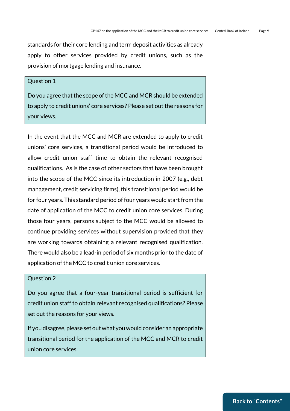standards for their core lending and term deposit activities as already apply to other services provided by credit unions, such as the provision of mortgage lending and insurance.

#### Question 1

Do you agree that the scope of the MCC and MCR should be extended to apply to credit unions' core services? Please set out the reasons for your views.

In the event that the MCC and MCR are extended to apply to credit unions' core services, a transitional period would be introduced to allow credit union staff time to obtain the relevant recognised qualifications. As is the case of other sectors that have been brought into the scope of the MCC since its introduction in 2007 (e.g., debt management, credit servicing firms), this transitional period would be for four years. This standard period of four years would start from the date of application of the MCC to credit union core services. During those four years, persons subject to the MCC would be allowed to continue providing services without supervision provided that they are working towards obtaining a relevant recognised qualification. There would also be a lead-in period of six months prior to the date of application of the MCC to credit union core services.

#### Question 2

Do you agree that a four-year transitional period is sufficient for credit union staff to obtain relevant recognised qualifications? Please set out the reasons for your views.

If you disagree, please set out what you would consider an appropriate transitional period for the application of the MCC and MCR to credit union core services.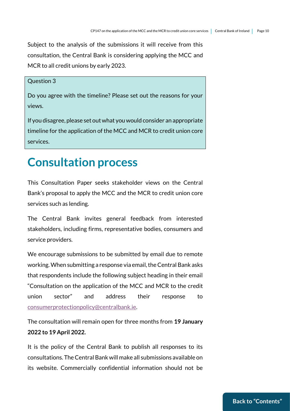Subject to the analysis of the submissions it will receive from this consultation, the Central Bank is considering applying the MCC and MCR to all credit unions by early 2023.

#### Question 3

Do you agree with the timeline? Please set out the reasons for your views.

If you disagree, please set out what you would consider an appropriate timeline for the application of the MCC and MCR to credit union core services.

## <span id="page-9-0"></span>**Consultation process**

This Consultation Paper seeks stakeholder views on the Central Bank's proposal to apply the MCC and the MCR to credit union core services such as lending.

The Central Bank invites general feedback from interested stakeholders, including firms, representative bodies, consumers and service providers.

We encourage submissions to be submitted by email due to remote working. When submitting a response via email, the Central Bank asks that respondents include the following subject heading in their email "Consultation on the application of the MCC and MCR to the credit union sector" and address their response to [consumerprotectionpolicy@centralbank.ie.](mailto:consumerprotectionpolicy@centralbank.ie)

The consultation will remain open for three months from **19 January 2022 to 19 April 2022.**

It is the policy of the Central Bank to publish all responses to its consultations. The Central Bank will make all submissions available on its website. Commercially confidential information should not be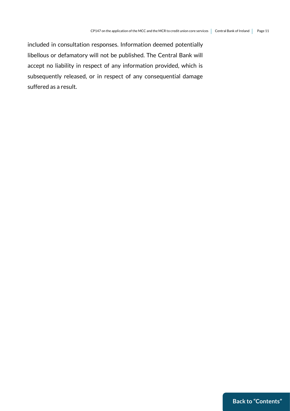included in consultation responses. Information deemed potentially libellous or defamatory will not be published. The Central Bank will accept no liability in respect of any information provided, which is subsequently released, or in respect of any consequential damage suffered as a result.